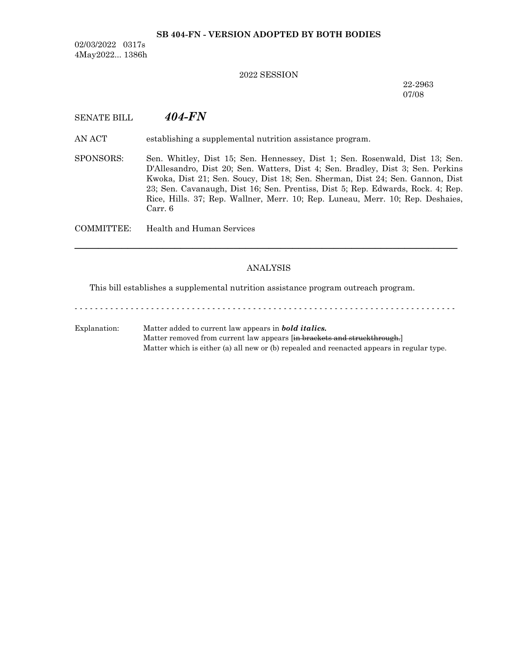#### **SB 404-FN - VERSION ADOPTED BY BOTH BODIES**

02/03/2022 0317s 4May2022... 1386h

#### 2022 SESSION

22-2963 07/08

## SENATE BILL *404-FN*

AN ACT establishing a supplemental nutrition assistance program.

SPONSORS: Sen. Whitley, Dist 15; Sen. Hennessey, Dist 1; Sen. Rosenwald, Dist 13; Sen. D'Allesandro, Dist 20; Sen. Watters, Dist 4; Sen. Bradley, Dist 3; Sen. Perkins Kwoka, Dist 21; Sen. Soucy, Dist 18; Sen. Sherman, Dist 24; Sen. Gannon, Dist 23; Sen. Cavanaugh, Dist 16; Sen. Prentiss, Dist 5; Rep. Edwards, Rock. 4; Rep. Rice, Hills. 37; Rep. Wallner, Merr. 10; Rep. Luneau, Merr. 10; Rep. Deshaies, Carr. 6

COMMITTEE: Health and Human Services

#### ANALYSIS

─────────────────────────────────────────────────────────────────

This bill establishes a supplemental nutrition assistance program outreach program.

- - - - - - - - - - - - - - - - - - - - - - - - - - - - - - - - - - - - - - - - - - - - - - - - - - - - - - - - - - - - - - - - - - - - - - - - - - - Explanation: Matter added to current law appears in *bold italics.* Matter removed from current law appears [in brackets and struckthrough.] Matter which is either (a) all new or (b) repealed and reenacted appears in regular type.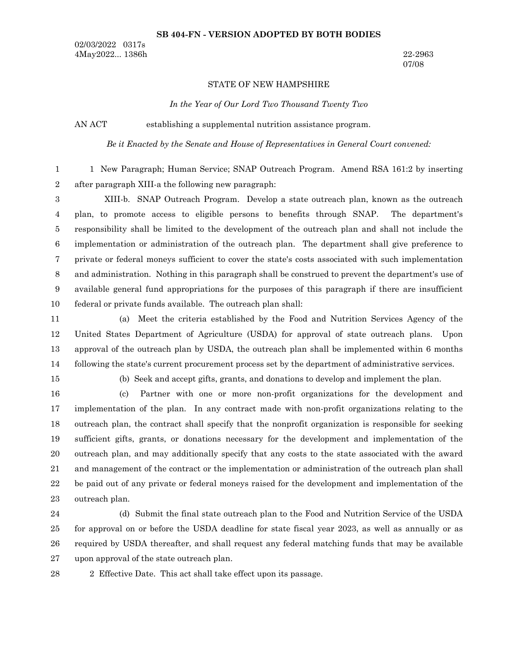#### **SB 404-FN - VERSION ADOPTED BY BOTH BODIES**

02/03/2022 0317s 4May2022... 1386h 22-2963

07/08

#### STATE OF NEW HAMPSHIRE

*In the Year of Our Lord Two Thousand Twenty Two*

AN ACT establishing a supplemental nutrition assistance program.

*Be it Enacted by the Senate and House of Representatives in General Court convened:*

1 New Paragraph; Human Service; SNAP Outreach Program. Amend RSA 161:2 by inserting after paragraph XIII-a the following new paragraph: 1 2

XIII-b. SNAP Outreach Program. Develop a state outreach plan, known as the outreach plan, to promote access to eligible persons to benefits through SNAP. The department's responsibility shall be limited to the development of the outreach plan and shall not include the implementation or administration of the outreach plan. The department shall give preference to private or federal moneys sufficient to cover the state's costs associated with such implementation and administration. Nothing in this paragraph shall be construed to prevent the department's use of available general fund appropriations for the purposes of this paragraph if there are insufficient federal or private funds available. The outreach plan shall: 3 4 5 6 7 8 9 10

(a) Meet the criteria established by the Food and Nutrition Services Agency of the United States Department of Agriculture (USDA) for approval of state outreach plans. Upon approval of the outreach plan by USDA, the outreach plan shall be implemented within 6 months following the state's current procurement process set by the department of administrative services. 11 12 13 14

15

(b) Seek and accept gifts, grants, and donations to develop and implement the plan.

(c) Partner with one or more non-profit organizations for the development and implementation of the plan. In any contract made with non-profit organizations relating to the outreach plan, the contract shall specify that the nonprofit organization is responsible for seeking sufficient gifts, grants, or donations necessary for the development and implementation of the outreach plan, and may additionally specify that any costs to the state associated with the award and management of the contract or the implementation or administration of the outreach plan shall be paid out of any private or federal moneys raised for the development and implementation of the outreach plan. 16 17 18 19 20 21 22 23

(d) Submit the final state outreach plan to the Food and Nutrition Service of the USDA for approval on or before the USDA deadline for state fiscal year 2023, as well as annually or as required by USDA thereafter, and shall request any federal matching funds that may be available upon approval of the state outreach plan. 24 25 26 27

2 Effective Date. This act shall take effect upon its passage. 28